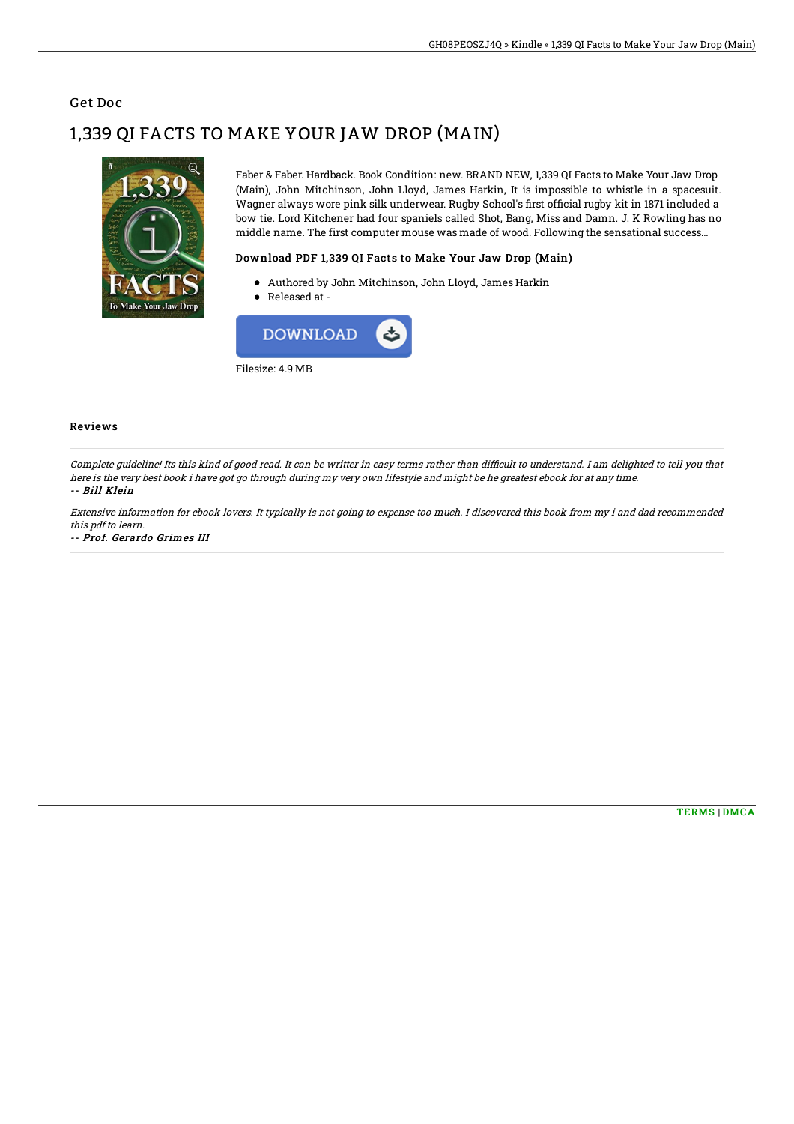### Get Doc

# 1,339 QI FACTS TO MAKE YOUR JAW DROP (MAIN)



Faber & Faber. Hardback. Book Condition: new. BRAND NEW, 1,339 QI Facts to Make Your Jaw Drop (Main), John Mitchinson, John Lloyd, James Harkin, It is impossible to whistle in a spacesuit. Wagner always wore pink silk underwear. Rugby School's first official rugby kit in 1871 included a bow tie. Lord Kitchener had four spaniels called Shot, Bang, Miss and Damn. J. K Rowling has no middle name. The first computer mouse was made of wood. Following the sensational success...

#### Download PDF 1,339 QI Facts to Make Your Jaw Drop (Main)

- Authored by John Mitchinson, John Lloyd, James Harkin
- Released at -



#### Reviews

Complete quideline! Its this kind of good read. It can be writter in easy terms rather than difficult to understand. I am delighted to tell you that here is the very best book i have got go through during my very own lifestyle and might be he greatest ebook for at any time. -- Bill Klein

Extensive information for ebook lovers. It typically is not going to expense too much. I discovered this book from my i and dad recommended this pdf to learn.

-- Prof. Gerardo Grimes III